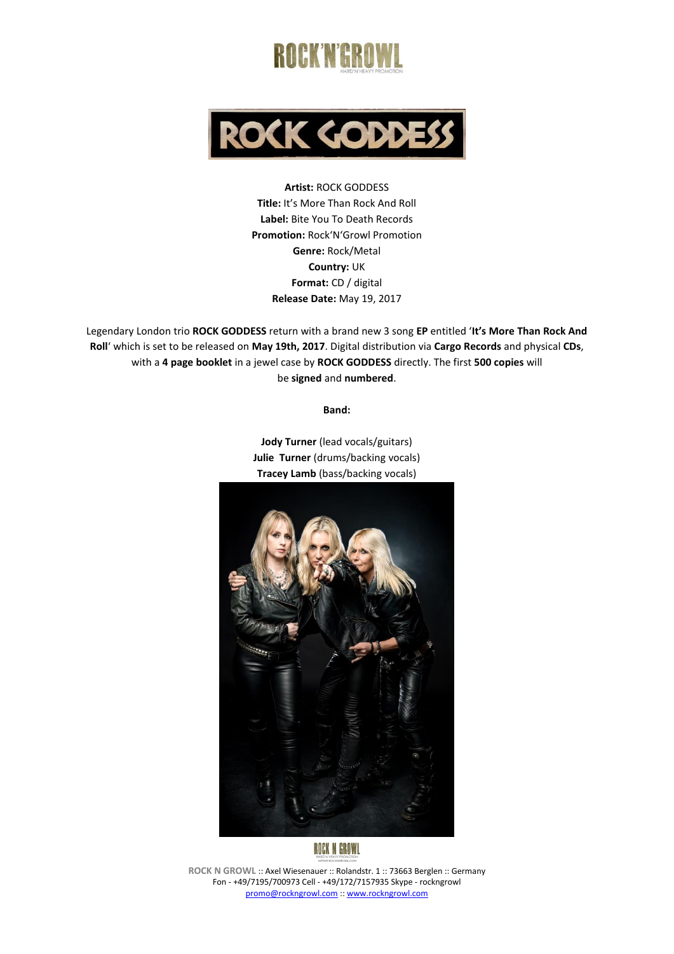



**Artist:** ROCK GODDESS **Title:** It's More Than Rock And Roll **Label:** Bite You To Death Records **Promotion:** Rock'N'Growl Promotion **Genre:** Rock/Metal **Country:** UK **Format:** CD / digital **Release Date:** May 19, 2017

Legendary London trio **ROCK GODDESS** return with a brand new 3 song **EP** entitled '**It's More Than Rock And Roll**' which is set to be released on **May 19th, 2017**. Digital distribution via **Cargo Records** and physical **CDs**, with a **4 page booklet** in a jewel case by **ROCK GODDESS** directly. The first **500 copies** will be **signed** and **numbered**.

**Band:**

**Jody Turner** (lead vocals/guitars) **Julie Turner** (drums/backing vocals) **Tracey Lamb** (bass/backing vocals)





**ROCK N GROWL** :: Axel Wiesenauer :: Rolandstr. 1 :: 73663 Berglen :: Germany Fon - +49/7195/700973 Cell - +49/172/7157935 Skype - rockngrowl [promo@rockngrowl.com](mailto:promo@rockngrowl.com) :[: www.rockngrowl.com](http://www.rockngrowl.com/)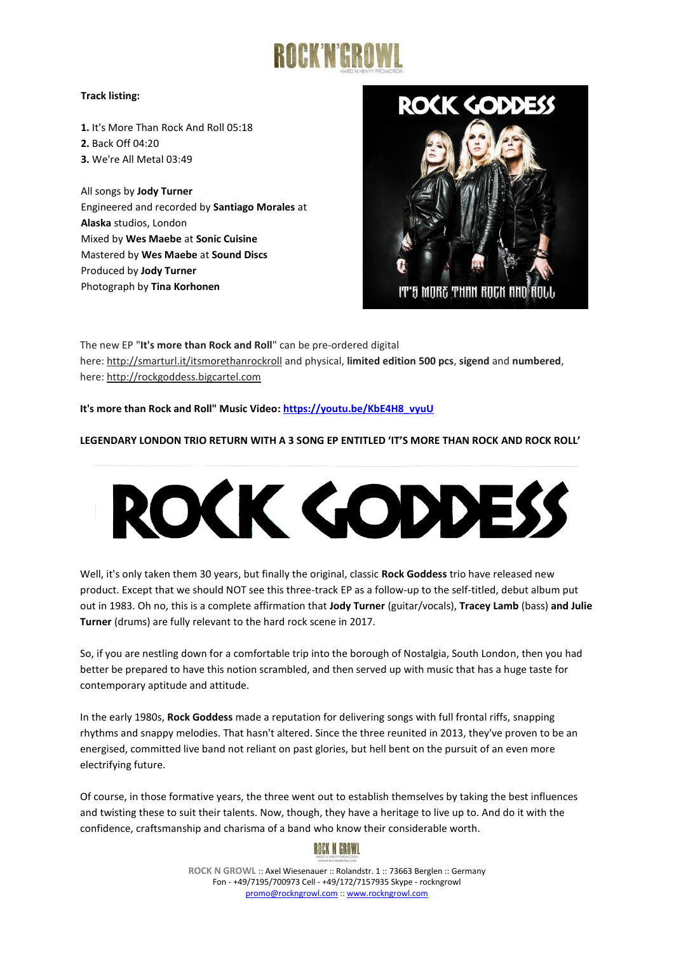

## **Track listing:**

**1.** It's More Than Rock And Roll 05:18 **2.** Back Off 04:20 **3.** We're All Metal 03:49

All songs by **Jody Turner** Engineered and recorded by **Santiago Morales** at **Alaska** studios, London Mixed by **Wes Maebe** at **Sonic Cuisine** Mastered by **Wes Maebe** at **Sound Discs** Produced by **Jody Turner** Photograph by **Tina Korhonen**



The new EP "**It's more than Rock and Roll**" can be pre-ordered digital here: <http://smarturl.it/itsmorethanrockroll> and physical, **limited edition 500 pcs**, **sigend** and **numbered**, here: [http://rockgoddess.bigcartel.com](http://rockgoddess.bigcartel.com/)

**It's more than Rock and Roll" Music Video: [https://youtu.be/KbE4H8\\_vyuU](https://youtu.be/KbE4H8_vyuU)**

## **LEGENDARY LONDON TRIO RETURN WITH A 3 SONG EP ENTITLED 'IT'S MORE THAN ROCK AND ROCK ROLL'**



Well, it's only taken them 30 years, but finally the original, classic **Rock Goddess** trio have released new product. Except that we should NOT see this three-track EP as a follow-up to the self-titled, debut album put out in 1983. Oh no, this is a complete affirmation that **Jody Turner** (guitar/vocals), **Tracey Lamb** (bass) **and Julie Turner** (drums) are fully relevant to the hard rock scene in 2017.

So, if you are nestling down for a comfortable trip into the borough of Nostalgia, South London, then you had better be prepared to have this notion scrambled, and then served up with music that has a huge taste for contemporary aptitude and attitude.

In the early 1980s, **Rock Goddess** made a reputation for delivering songs with full frontal riffs, snapping rhythms and snappy melodies. That hasn't altered. Since the three reunited in 2013, they've proven to be an energised, committed live band not reliant on past glories, but hell bent on the pursuit of an even more electrifying future.

Of course, in those formative years, the three went out to establish themselves by taking the best influences and twisting these to suit their talents. Now, though, they have a heritage to live up to. And do it with the confidence, craftsmanship and charisma of a band who know their considerable worth.



**ROCK N GROWL** :: Axel Wiesenauer :: Rolandstr. 1 :: 73663 Berglen :: Germany Fon - +49/7195/700973 Cell - +49/172/7157935 Skype - rockngrowl [promo@rockngrowl.com](mailto:promo@rockngrowl.com) :[: www.rockngrowl.com](http://www.rockngrowl.com/)